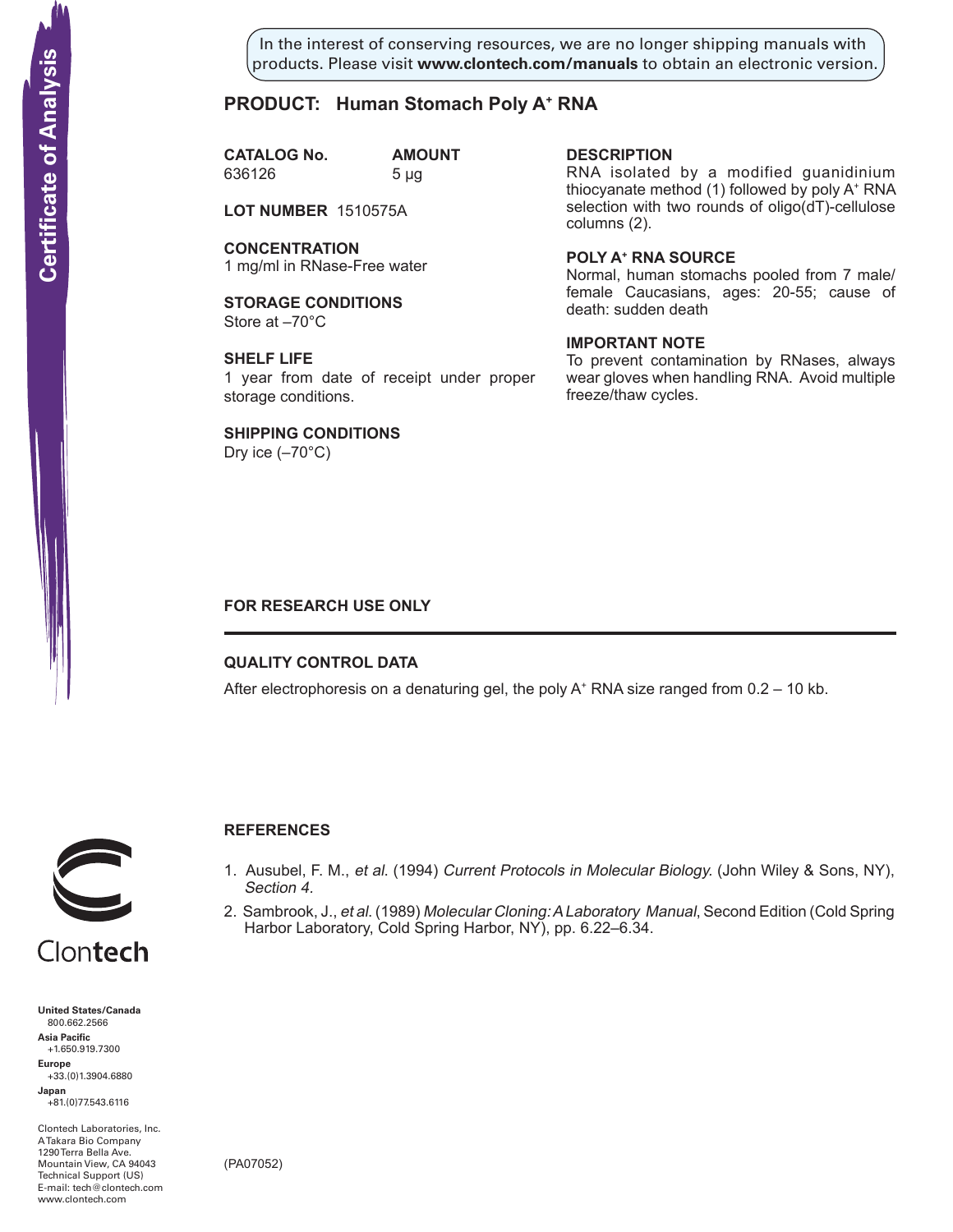In the interest of conserving resources, we are no longer shipping manuals with products. Please visit **www.clontech.com/manuals** to obtain an electronic version.

# **PRODUCT: Human Stomach Poly A+ RNA**

**CATALOG No. AMOUNT** 636126 5 µg

**LOT NUMBER** 1510575A

**CONCENTRATION** 1 mg/ml in RNase-Free water

**STORAGE CONDITIONS** Store at –70°C

**SHELF LIFE** 1 year from date of receipt under proper storage conditions.

**SHIPPING CONDITIONS**

Dry ice  $(-70^{\circ}C)$ 

### **description**

RNA isolated by a modified guanidinium thiocyanate method (1) followed by poly A+ RNA selection with two rounds of oligo(dT)-cellulose columns (2).

**Poly a+ RNA source**

Normal, human stomachs pooled from 7 male/ female Caucasians, ages: 20-55; cause of death: sudden death

## **IMPORTANT NOTE**

To prevent contamination by RNases, always wear gloves when handling RNA. Avoid multiple freeze/thaw cycles.

## **FOR RESEARCH USE ONLY**

## **QUALITY CONTROL DATA**

After electrophoresis on a denaturing gel, the poly  $A^+$  RNA size ranged from 0.2 – 10 kb.



# **References**

- 1. Ausubel, F. M., et al. (1994) Current Protocols in Molecular Biology. (John Wiley & Sons, NY), Section 4.
- 2. Sambrook, J., et al. (1989) Molecular Cloning: A Laboratory Manual, Second Edition (Cold Spring Harbor Laboratory, Cold Spring Harbor, NY), pp. 6.22–6.34.

**United States/Canada** 800.662.2566 **Asia Pacific** +1.650.919.7300 **Europe** +33.(0)1.3904.6880 **Japan** +81.(0)77.543.6116 **Solution Control Control Control Control Control Control Control Control Control Control Control Control Control Control Control Control Control Control Control Control Control Control Control Control Control Control Cont** 

Clontech Laboratories, Inc. A Takara Bio Company 1290 Terra Bella Ave. Mountain View, CA 94043 Technical Support (US) E-mail: tech@clontech.com

(PA07052)